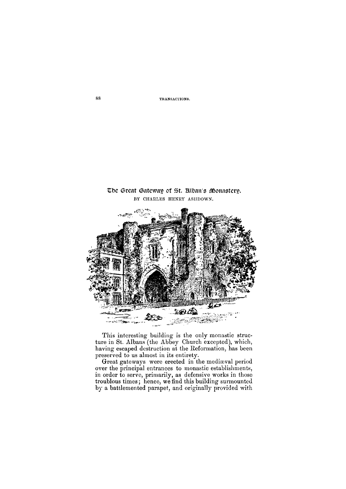The Great Gateway of St. Alban's Monastery. **BY CHARLES HENRY ASHDOWN.** 



This interesting building is the only monastic structure in St. Albans (the Abbey Church excepted), which, having escaped destruction at the Reformation, has been preserved to us almost in its entirety.

Great gateways were erected in the mediaeval period over the principal entrances to monastic establishments,

in order to serve, primarily, as defensive works in those troublous times; hence, we find this building surmounted by a battlemented parapet, and originally provided with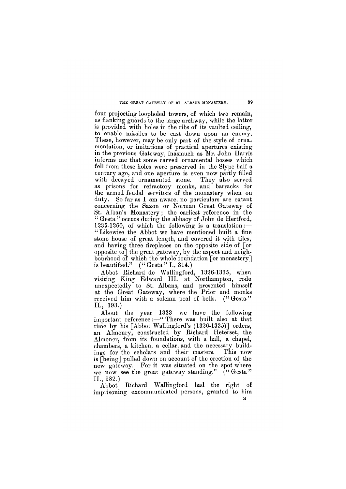four projecting loopholed towers, of which two remain, as flanking guards to the large archway, while the latter is provided with holes in the ribs of its vaulted ceiling, to enable missiles to be cast down upon an enemy. These, however, may be only part of the style of ornamentation, or imitations of practical apertures existing in the previous Gateway, inasmuch as Mr. John Harris informs me that some carved ornamental bosses which fell from these holes were preserved in the Slype half a century ago, and one aperture is even now partly filled with decayed ornamented stone. They also served as prisons for refractory monks, and barracks for the armed feudal servitors of the monastery when on duty. So far as I am aware, no particulars are extant concerning the Saxon or Norman Great Gateway of St. Alban's Monastery; the earliest reference in the " Gesta " occurs during the abbacy of John de Hertford,  $1235-1260$ , of which the following is a translation: " Likewise the Abbot we have mentioned built a fine stone house of great length, and covered it with tiles, and having three fireplaces on the opposite side of [or opposite to] the great gateway, by the aspect and neighbourhood of which the whole foundation [or monastery] is beautified."  $($  " Gesta " I., 314.)

Abbot Richard de Wallingford, 1326-1335, when visiting King Edward III. at Northampton, rode unexpectedly to St. Albans, and presented himself at the Great Gateway, where the Prior and monks received him with a solemn peal of bells. ("Gesta" II., 193.)

About the year 1333 we have the following important reference:—" There was built also at that time by his [Abbot Wallingford's (1326-1335)] orders, an Almonry, constructed by Richard Heterset, the Almoner, from its foundations, with a hall, a chapel, chambers, a kitchen, a cellar, and the necessary buildings for the scholars and their masters. This now is [being] pulled down on account of the erection of the new gateway. For it was situated on the spot where we now see the great gateway standing."  $($ " Gesta" II., 282.) Abbot Richard Wallingford had the right of imprisoning excommunicated persons, granted to him **M**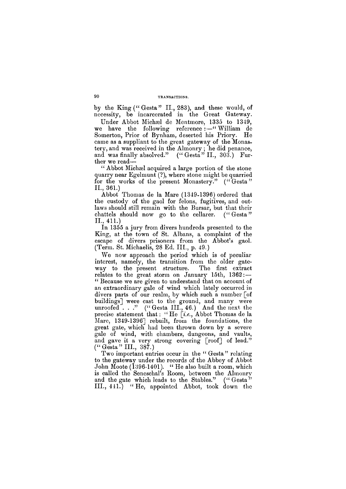by the King ("Gesta" II., 283), and these would, of necessity, be incarcerated in the Great Gateway.

Under Abbot Michael de Mentmore, 1335 to 1349, we have the following reference :- "William de Somerton, Prior of Bynham, deserted his Priory. He came as a suppliant to the great gateway of the Monastery, and was received in the Almonry ; he did penance, and was finally absolved."  $($ " Gesta<sup>"</sup> II., 303.) Further we read—

We now approach the period which is of peculiar interest, namely, the transition from the older gateway to the present structure. The first extract relates to the great storm on January 15th,  $1362:-$ " Because we are given to understand that on account of an extraordinary gale of wind which lately occurred in divers parts of our realm, by which such a number [of buildings] were cast to the ground, and many were unroofed . . ." (" Gesta III., 46.) And the next the precise statement that: "He *[i.e.*, Abbot Thomas de la Mare, 1349-1396] rebuilt, from the foundations, the great gate, which had been thrown down by a severe gale of wind, with chambers, dungeons, and vaults, and gave it a very strong covering [roof] of lead."  $($ " Gesta" III., 387.)

" Abbot Michael acquired a large portion of the stone quarry near Egelmunt (?), where stone might be quarried for the works of the present Monastery." ("Gesta" II., 361.)

Abbot Thomas de la Mare (1349-1396) ordered that the custody of the gaol for felons, fugitives, and outlaws should still remain with the Bursar, but that their chattels should now go to the cellarer. ("Gesta" II., 411.)

In 1355 a jury from divers hundreds presented to the King, at the town of St. Albans, a complaint of the escape of divers prisoners from the Abbot's gaol. (Term. St. Michaelis, 28 Ed. III., p. 49.)

Two important entries occur in the "Gesta" relating to the gateway under the records of the Abbey of Abbot John Moote (1396-1401). " He also built a room, which is called the Seneschal's Room, between the Almonry and the gate which leads to the Stables." ("Gesta" III., 441.) " He, appointed Abbot, took down the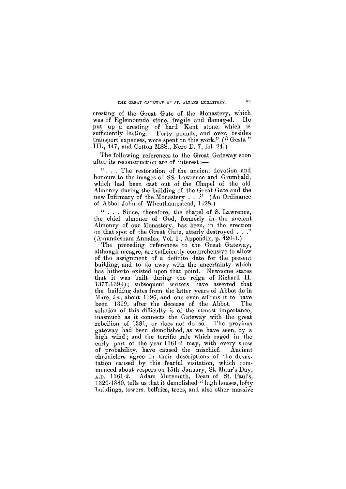cresting of the Great Gate of the Monastery, which was of Eglemounde stone, fragile and damaged. He put up a cresting of hard Kent stone, which is sufficiently lasting. Forty pounds, and over, besides transport expenses, were spent on this work." ("Gesta" III., 447, and Cotton MSS.. Nero D. 7, fol. 24.)

The following references to the Great Gateway soon after its reconstruction are of interest:—

" . . . The restoration of the ancient devotion and honours to the images of SS. Lawrence and Grumbald, which had been cast out of the Chapel of the old Almonry during the building of the Great Gate and the new Infirmary of the Monastery . . ." (An Ordinance of Abbot John of Wheathampstead, 1428.)

" . . . Since, therefore, the chapel of S. Lawrence, the chief almoner of God, formerly in the ancient Almonry of our Monastery, has been, in the erection on that spot of the Great Gate, utterly destroyed . . ." (Amundesham Annales, Vol. I., Appendix, p. 420-3.)

The preceding references to the Great Gateway, although meagre, are sufficiently comprehensive to allow of the assignment of a definite date for the present building, and to do away with the uncertainty which has hitherto existed upon that point. Newcome states that it was built during the reign of Richard II. 1377-1399); subsequent writers have asserted that the building dates from the latter years of Abbot de la Mare, *i.e.,* about 1396, and one even affirms it to have been 1399, after the decease of the Abbot. The solution of this difficulty is of the utmost importance, inasmuch as it connects the Gateway with the great rebellion of 1381, or does not do so. The previous gateway had been demolished, as we have seen, by a high wind ; and the terrific gale which raged in the early part of the year 1361-2 may, with every show of probability, have caused the mischief. Ancient chroniclers agree in their descriptions of the devastation caused by this fearful visitation, which com-

menced about vespers on 15th January, St. Maur's Day, A.D. 1361-2. Adam Muremuth, Dean of St. Paul's, 1320-1380, tells us that it demolished " high houses, lofty buildings, towers, belfries, trees, and also other massive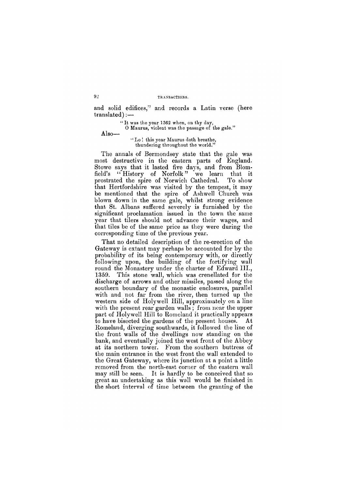and solid edifices," and records a Latin verse (here translated):—

" It was the year 1362 when, on thy day,

"Lo! this year Maurus doth breathe, thundering throughout the world."

Also—

The annals of Bermondsey state that the gale was most destructive in the eastern parts of England. Stowe says that it lasted five days, and from Blomfield's "History of Norfolk" we learn that it prostrated the spire of Norwich Cathedral. To show that Hertfordshire was visited by the tempest, it may be mentioned that the spire of Ashwell Church was blown down in the same gale, whilst strong evidence that St. Albans suffered severely is furnished by the significant proclamation issued in the town the same year that tilers should not advance their wages, and that tiles be of the same price as they were during the corresponding time of the previous year.

That no detailed description of the re-erection of the Gateway is extant may perhaps be accounted for by the probability of its being contemporary with, or directly following upon, the building of the fortifying wall round the Monastery under the charter of Edward III., 1359. This stone wall, which was crenellated for the discharge of arrows and other missiles, passed along the southern boundary of the monastic enclosures, parallel with and not far from the river, then turned up the western side of Holywell Hill, approximately on a line with the present rear garden walls; from near the upper part of Holywell Hill to Romeland it practically appears to have bisected the gardens of the present houses. At Romeland, diverging southwards, it followed the line of the front walls of the dwellings now standing on the bank, and eventually joined the west front of the Abbey at its northern tower. From the southern buttress of the main entrance in the west front the wall extended to the Great Gateway, where its junction at a point a little removed from the north-east corner of the eastern wall

may still be seen. It is hardly to be conceived that so great an undertaking as this wall would be finished in the short interval of time between the granting of the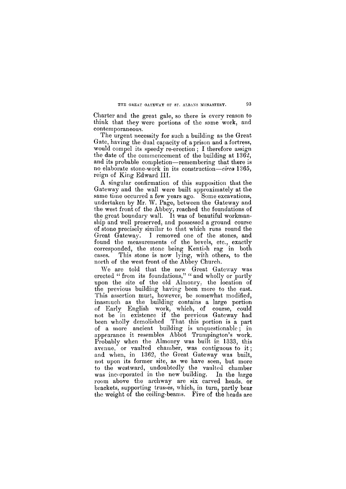Charter and the great gale, so there is every reason to think that they were portions of the same work, and contemporaneous.

The urgent necessity for such a building as the Great Gate, having the dual capacity of a prison and a fortress, would compel its speedy re-erection; I therefore assign the date of the commencement of the building at 1362, and its probable completion—remembering that there is no elaborate stone-work in its construction—*circa* 1365, reign of King Edward III.

A singular confirmation of this supposition that the Gateway and the wall were built approximately at the same time occurred a few years ago. Some excavations, undertaken by Mr. W. Page, between the Gateway and the west front of the Abbey, reached the foundations of the great boundary wall. It was of beautiful workmanship and well preserved, and possessed a ground course of stone precisely similar to that which runs round the Great Gateway. I removed one of the stones, and found the measurements of the bevels, etc., exactly corresponded, the stone being Kentish rag in both cases. This stone is now lying, with others, to the north of the west front of the Abbey Church.

We are told that the new Great Gateway was erected "from its foundations," " and wholly or partly upon the site of the old Almonry, the location of the previous building having been more to the east. This assertion must, however, be somewhat modified, inasmuch as the building contains a large portion of Early English work, which, of course, could not be in existence if the previous Gateway had been wholly demolished That this portion is a part of a more ancient building is unquestionable; in appearance it resembles Abbot Trumpington's work. Probably when the Almonry was built in 1333, this avenue, or vaulted chamber, was contiguous to it; and when, in 1362, the Great Gateway was built, not upon its former site, as we have seen, but more to the westward, undoubtedly the vaulted chamber

was incorporated in the new building. In the large room above the archway are six carved heads, or brackets, supporting trusses, which, in turn, partly bear the weight of the ceiling-beams. Five of the heads are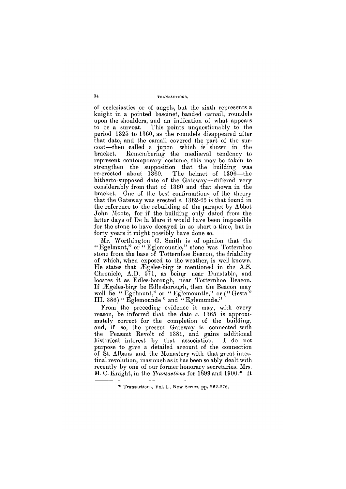Mr. Worthington G. Smith is of opinion that the " Egelmunt," or " Eglemountle," stone was Totternhoe stone from the base of Totternhoe Beacon, the friability of which, when exposed to the weather, is well known. He states that AEgeles-birg is mentioned in the A.S. Chronicle, A.D. 571, as being near Dunstable, and locates it as Edles-borough, near Totternhoe Beacon. If AEgeles-birg be Edlesborough, then the Beacon may well be "Egelmunt," or "Eglemountle," or ("Gesta" III. 386) "Eglemounde" and "Eglemunde."

of ecclesiastics or of angels, but the sixth represents a knight in a pointed bascinet, banded camail, roundels upon the shoulders, and an indication of what appears to be a surcoat. This points unquestionably to the period 1325 to 1360, as the roundels disappeared after that date, and the camail covered the part of the surcoat—then called a jupon—which is shown in the bracket. Remembering the mediaeval tendency to represent contemporary costume, this may be taken to strengthen the supposition that the building was re-erected about 1360. The helmet of 1396—the hitherto-supposed date of the Gateway—differed very considerably from that of 1360 and that shown in the bracket. One of the best confirmations of the theory that the Gateway was erected *c.* 1362-65 is that found in the reference to the rebuilding of the parapet by Abbot John Moote, for if the building only dated from the latter days of De la Mare it would have been impossible for the stone to have decayed in so short a time, but in forty years it might possibly have done so.

From the preceding evidence it may, with every reason, be inferred that the date *c.* 1365 is approximately correct for the completion of the building, and, if so, the present Gateway is connected with the Peasant Revolt of 1381, and gains additional historical interest by that association. I do not purpose to give a detailed account of the connection of St. Albans and the Monastery with that great intestinal revolution, inasmuch as it has been so ably dealt with recently by one of our former honorary secretaries, Mrs.

M. C. Knight, in the *Transactions* for 1899 and 1900 \* It

\* Transactions, Vol. I., New Series, pp. 262-276.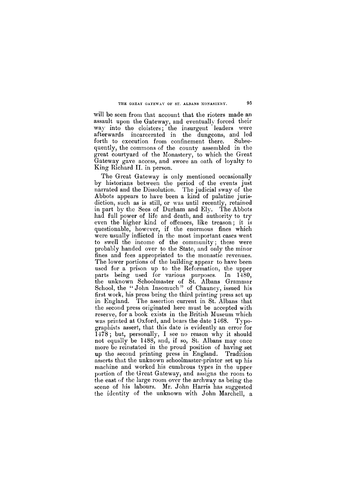will be seen from that account that the rioters made an assault upon the Gateway, and eventually forced their way into the cloisters; the insurgent leaders were afterwards incarcerated in the dungeons, and led forth to execution from confinement there. Subsequently, the commons of the county assembled in the great courtyard of the Monastery, to which the Great Gateway gave access, and swore an oath of loyalty to King Richard II. in person.

The Great Gateway is only mentioned occasionally by historians between the period of the events just narrated and the Dissolution. The judicial sway of the Abbots appears to have been a kind of palatine jurisdiction, such as is still, or was until recently, retained in part by the Sees of Durham and Ely. The Abbots had full power of life and death, and authority to try even the higher kind of offences, like treason; it is questionable, however, if the enormous fines which were usually inflicted in the most important cases went to swell the income of the community; these were probably handed over to the State, and only the minor fines and fees appropriated to the monastic revenues. The lower portions of the building appear to have been used for a prison up to the Reformation, the upper parts being used for various purposes. In 1480, the unknown Schoolmaster of St. Albans Grammar School, the "John Insomuch" of Chauncy, issued his first work, his press being the third printing press set up in England. The assertion current in St. Albans that the second press originated here must be accepted with reserve, for a book exists in the British Museum which was printed at Oxford, and bears the date 1468. Typographists assert, that this date is evidently an error for 1478 ; but, personally, I see no reason why it should not equally be 1488, and, if so, St. Albans may once more be reinstated in the proud position of having set up the second printing press in England. Tradition asserts that the unknown schoolmaster-printer set up his machine and worked his cumbrous types in the upper

portion of the Great Gateway, and assigns the room to the east of the large room over the archway as being the scene of his labours. Mr. John Harris has suggested the identity of the unknown with John Marchell, a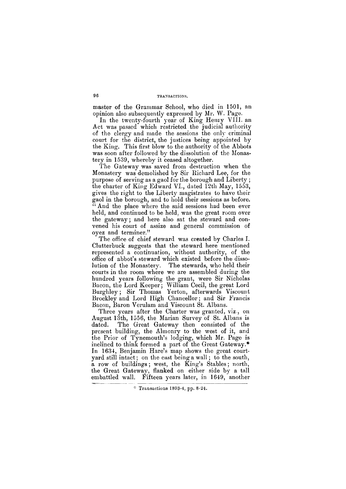master of the Grammar School, who died in 1501, an opinion also subsequently expressed by Mr. W. Page.

In the twenty-fourth year of King Henry VIII. an Act was passed which restricted the judicial authority of the clergy and made the sessions the only criminal court for the district, the justices being appointed by the King. This first blow to the authority of the Abbots was soon after followed by the dissolution of the Monastery in 1539, whereby it ceased altogether.

The Gateway was saved from destruction when the Monastery was demolished by Sir Richard Lee, for the purpose of serving as a gaol for the borough and Liberty ; the charter of King Edward VI., dated 12th May, 1553, gives the right to the Liberty magistrates to have their gaol in the borough, and to hold their sessions as before. " And the place where the said sessions had been ever held, and continued to be held, was the great room over the gateway; and here also sat the steward and convened his court of assize and general commission of oyez and terminer."

The office of chief steward was created by Charles I. Clutterbuck suggests that the steward here mentioned represented a continuation, without authority, of the office of abbot's steward which existed before the dissolution of the Monastery. The stewards, who held their courts in the room where we are assembled during the hundred years following the grant, were Sir Nicholas Bacon, the Lord Keeper; William Cecil, the great Lord Burghley; Sir Thomas Yerton, afterwards Viscount Brockley and Lord High Chancellor; and Sir Francis Bacon, Baron Verulam and Viscount St. Albans.

Three years after the Charter was granted, viz., on August 13th, 1556, the Marian Survey of St. Albans is dated. The Great Gateway then consisted of the present building, the Almonry to the west of it, and the Prior of Tynemouth's lodging, which Mr. Page is inclined to think formed a part of the Great Gateway.\* In 1634, Benjamin Hare's map shows the great courtyard still intact; on the east being a wall ; to the south, a row of buildings; west, the King's Stables; north, the Great Gateway, flanked on either side by a tall embattled wall. Fifteen years later, in 1649, another

Transactions 1893-4, pp. 8-24.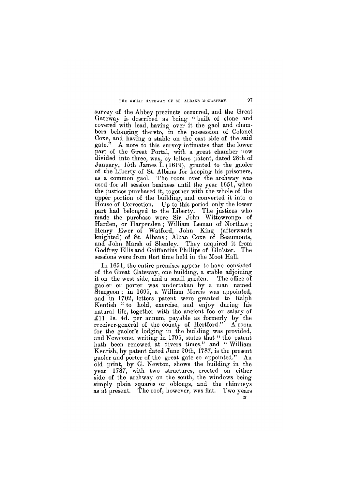survey of the Abbey precincts occurred, and the Great Gateway is described as being "built of stone and covered with lead, having over it the gaol and chambers belonging thereto, in the possession of Colonel Coxe, and having a stable on the east side of the said gate." A note to this survey intimates that the lower part of the Great Portal, with a great chamber now divided into three, was, by letters patent, dated 28th of January, 15th James I. (1619), granted to the gaoler of the Liberty of St. Albans for keeping his prisoners, as a common gaol. The room over the archway was used for all session business until the year 1651, when the justices purchased it, together with the whole of the upper portion of the building, and converted it into a House of Correction. Up to this period only the lower part had belonged to the Liberty. The justices who made the purchase were Sir John Wittewronge of Harden, or Harpenden; William Leman of Northaw; Henry Ewer of Watford, John King (afterwards knighted) of St. Albans; Alban Coxe of Beaumonts, and John Marsh of Shenley. They acquired it from Godfrey Ellis and Griffantius Phillips of Glo'ster. The sessions were from that time held in the Moot Hall.

In 1651, the entire premises appear to have consisted of the Great Gateway, one building, a stable adjoining it on the west side, and a small garden. The office of gaoler or porter was undertakan by a man named Sturgeon ; in 1695, a William Morris was appointed, and in 1702, letters patent were granted to Ralph Kentish " to hold, exercise, and enjoy during his natural life, together with the ancient fee or salary of £11 Is. 4d. per annum, payable as formerly by the receiver-general of the county of Hertford." A room for the gaoler's lodging in the building was provided, and Newcome, writing in 1795, states that " the patent hath been renewed at divers times," and "William Kentish, by patent dated June 20th, 1787, is the present gaoler and porter of the great gate so appointed." An old print, by G. Newton, shows the building in the year 1787, with two structures, erected on either side of the archway on the south, the windows being simply plain squares or oblongs, and the chimneys as at present. The roof, however, was flat. Two years **N**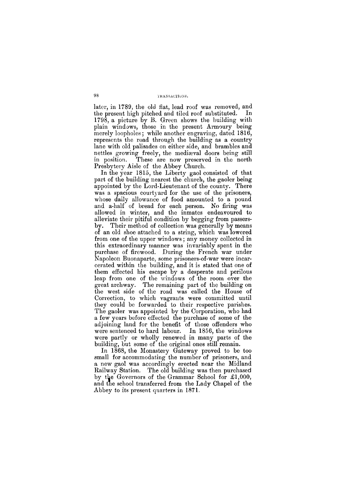later, in 1789, the old flat, lead roof was removed, and the present high pitched and tiled roof substituted. In 1798, a picture by B. Green shows the building with plain windows, those in the present Armoury being merely loopholes ; while another engraving, dated 1816, represents the road through the building as a country lane with old palisades on either side, and brambles and nettles growing freely, the mediaeval doors being still in position. These are now preserved in the north Presbytery Aisle of the Abbey Church.

In the year 1815, the Liberty gaol consisted of that part of the building nearest the church, the gaoler being appointed by the Lord-Lieutenant of the county. There was a spacious courtyard for the use of the prisoners, whose daily allowance of food amounted to a pound and a-half of bread for each person. No firing was allowed in winter, and the inmates endeavoured to alleviate their pitiful condition by begging from passersby. Their method of collection was generally by means of an old shoe attached to a string, which was lowered from one of the upper windows ; any money collected in this extraordinary manner was invariably spent in the purchase of firewood. During the French war under Napoleon Buonaparte, some prisoners-of-war were incarcerated within the building, and it is stated that one of them effected his escape by a desperate and perilous leap from one of the windows of the room over the great archway. The remaining part of the building on the west side of the road was called the House of Correction, to which vagrants were committed until they could be forwarded to their respective parishes. The gaoler was appointed by the Corporation, who had a few years before effected the purchase of some of the adjoining land for the benefit of those offenders who were sentenced to hard labour. In 1856, the windows were partly or wholly renewed in many parts of the building, but some of the original ones still remain.

In 1868, the Monastery Gateway proved to be too small for accommodating the number of prisoners, and a new gaol was accordingly erected near the Midland Railway Station. The old building was then purchased by the Governors of the Grammar School for £1,000, and the school transferred from the Lady Chapel of the Abbey to its present quarters in 1871.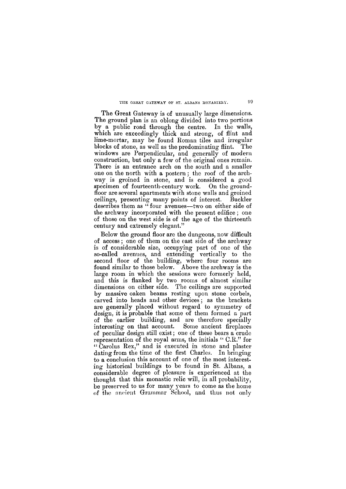The Great Gateway is of unusually large dimensions. The ground plan is an oblong divided into two portions by a public road through the centre. In the walls, which are exceedingly thick and strong, of flint and lime-mortar, may be found Roman tiles and irregular blocks of stone, as well as the predominating flint. The windows are Perpendicular, and generally of modern construction, but only a few of the original ones remain. There is an entrance arch on the south and a smaller one on the north with a postern; the roof of the archway is groined in stone, and is considered a good specimen of fourteenth-century work. On the groundfloor are several apartments with stone walls and groined ceilings, presenting many points of interest. Buckler describes them as "four avenues—two on either side of the archway incorporated with the present edifice ; one of those on the west side is of the age of the thirteenth century and extremely elegant."

Below the ground floor are the dungeons, now difficult of access; one of them on the east side of the archway is of considerable size, occupying part of one of the so-called avenues, and extending vertically to the second floor of the building, where four rooms are found similar to those below. Above the archway is the large room in which the sessions were formerly held, and this is flanked by two rooms of almost similar dimensions on either side. The ceilings are supported by massive oaken beams resting upon stone corbels, carved into heads and other devices; as the brackets are generally placed without regard to symmetry of design, it is probable that some of them formed a part of the earlier building, and are therefore specially interesting on that account. Some ancient fireplaces of peculiar design still exist; one of these bears a crude representation of the royal arms, the initials "C.R." for " Carolus Rex," and is executed in stone and plaster dating from the time of the first Charles. In bringing to a conclusion this account of one of the most interesting historical buildings to be found in St. Albans, a

considerable degree of pleasure is experienced at the thought that this monastic relic will, in all probability, be preserved to us for many years to come as the home of the ancient Grammar School, and thus not only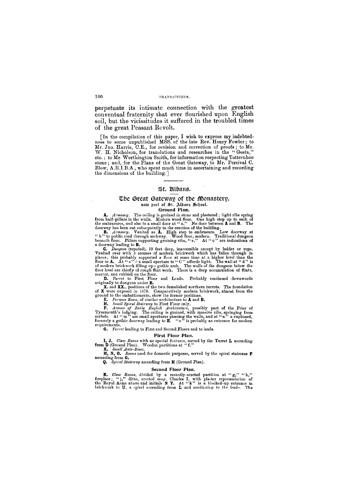perpetuate its intimate connection with the greatest conventual fraternity that ever flourished upon English soil, but the vicissitudes it suffered in the troubled times of the great Peasant Revolt.

**[In the compilation of this paper, I wish to express my indebtedness to some unpublished MSS. of the late Rev. Henry Fowler; to Mr. Jno. Harris, C.E., for revision and correction of proofs ; to Mr.**  W. H. Nicholson, for translations and researches in the "Gesta," **etc.; to Mr. Worthington Smith, for information respecting Totternhoe stone ; and, for the Plans of the Great Gateway, to Mr. Percival C. Blow, A.R.I.B.A., who spent much time in ascertaining and recording the dimensions of the building.]** 

## St. Albans.

## The Great Gateway of the *I*llomastery,

## **now part of St. Albans School**

#### **Ground Plan.**

**A.** *Armoury.* **The ceiling is groined in stone and plastered ; light ribs spring from half-pillars in the walls. Modern wood floor. One high step up to each of the embrasures, and also to a small door at "a. " No door between A and B. The doorway has been cut subsequently to the erection of the building.** 

**B.** *Armoury.* **Vaulted as A. High step to embrasure. Low doorway at " b " to public road through archway. Wood floor, modern. Traditional dungeon beneath floor. Pillars supporting groining ribs, " e." At " o " are indications of a doorway leading to B.** 

**I, J.** *Class Rooms* **with no special features, served by the Turret L ascending**  from D (Ground Plan). Wooden partitions at "f."

**C.** *Dungeon* **(reputed), 19 feet deep, inaccessible except by ladder or rope. Vaulted over with 3 courses of modern brickwork which has fallen through in places; this probably supported a floor at some time at a higher level than the**  floor in **A.** At " c "  $\acute{e}$  a small aperture to " C " affords light. The wall at " d " is **of modern brickwork filling up a gothic arch. The walls of the dungeon below the floor level are chiefly of rough flint work. There is a deep accumulation of flints, mortar, and rubbish on the floor.** 

**D.** *Turret* **to First Floor and Leads. Probably continued downwards originally to dungeon under B.** 

**X. and XX., positions of the two demolished northern turrets. The foundation of X were exposed in 1870. Comparatively modern brickwork, almost from the ground to the embattlements, show the former positions.** 

**E.** *Furnace Room,* **of similar architecture to A and B.** 

**H.** *Small Spiral Stairway* **to First Floor only.** 

**F.** *Avenue of Early English Architecture***, possibly part of the Prior of Tynemouth's lodging. The ceiling is groined, with massive ribs, springing from corbels. At " m " are small apertures piercing the walls, and at " n " a cupboard, formerly a gothic doorway leading to E. " o " is probably an entrance for modern requirements.** 

**G.** *Turret* **leading to First and Second Floors and to leads.** 

#### **First Floor Plan.**

**K.** *Small Ante-Room.* 

**M, N, O.** *Rooms* **used for domestic purposes, served by the spiral staircase P ascending from G. Q.** *Spiral Stairway* **ascending from H (Ground Plan).** 

#### **Second Floor Plan.**

**R.** *Class Rooms***, divided by a recently-erected partition at " g," "h, " fireplace;** "j," ditto, erected *temp.* Charles I. with plaster representation of **the Royal Arms above and initials N V. At "k " is a blocked-up entrance in brickwork to U, a spiral ascending from L and continuing to the leads. The**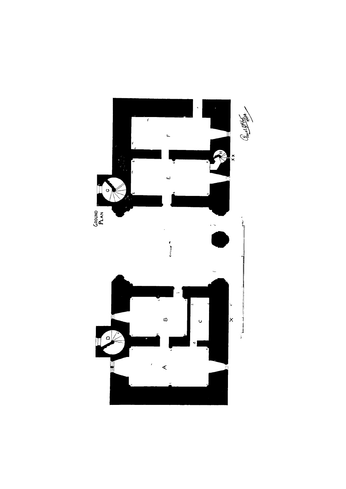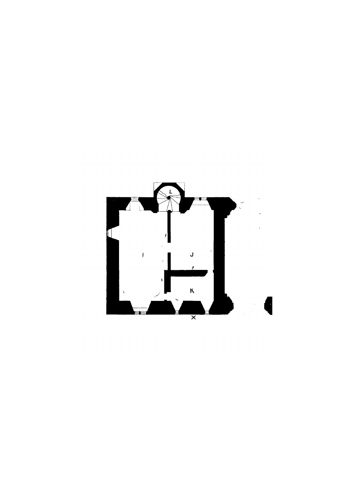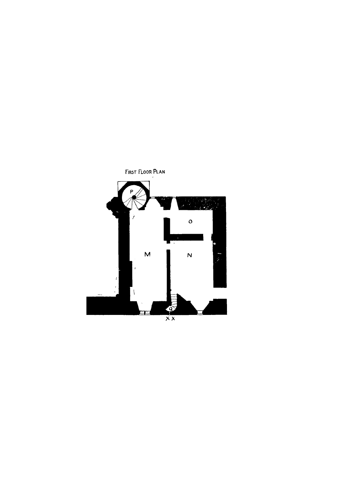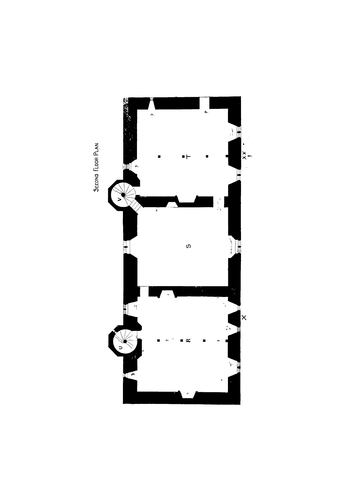

**SECOND FLOOR PLAN**